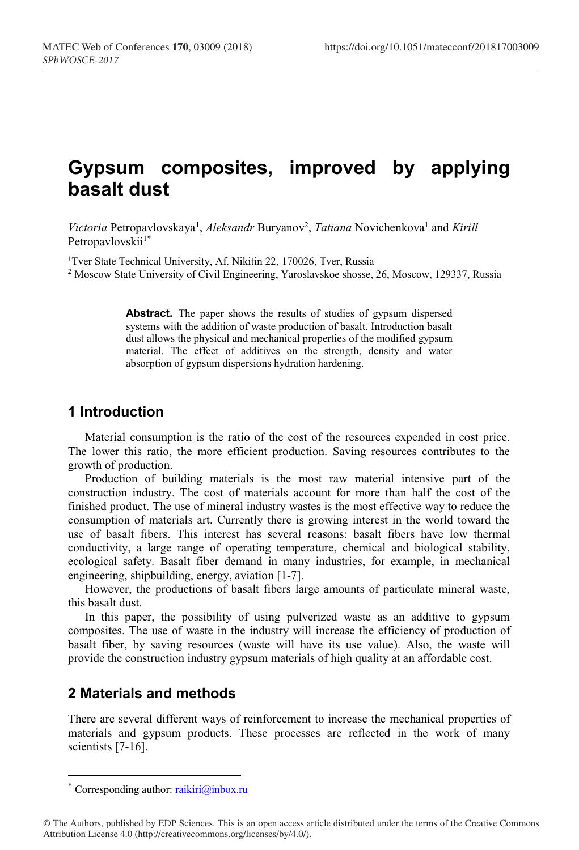# **Gypsum composites, improved by applying basalt dust**

Victoria Petropavlovskaya<sup>1</sup>, Aleksandr Buryanov<sup>2</sup>, Tatiana Novichenkova<sup>1</sup> and Kirill Petropavlovskii<sup>1\*</sup>

<sup>1</sup>Tver State Technical University, Af. Nikitin 22, 170026, Tver, Russia <sup>2</sup> Moscow State University of Civil Engineering, Yaroslavskoe shosse, 26, Moscow, 129337, Russia

> Abstract. The paper shows the results of studies of gypsum dispersed systems with the addition of waste production of basalt. Introduction basalt dust allows the physical and mechanical properties of the modified gypsum material. The effect of additives on the strength, density and water absorption of gypsum dispersions hydration hardening.

#### **1 Introduction**

Material consumption is the ratio of the cost of the resources expended in cost price. The lower this ratio, the more efficient production. Saving resources contributes to the growth of production.

Production of building materials is the most raw material intensive part of the construction industry. The cost of materials account for more than half the cost of the finished product. The use of mineral industry wastes is the most effective way to reduce the consumption of materials art. Currently there is growing interest in the world toward the use of basalt fibers. This interest has several reasons: basalt fibers have low thermal conductivity, a large range of operating temperature, chemical and biological stability, ecological safety. Basalt fiber demand in many industries, for example, in mechanical engineering, shipbuilding, energy, aviation [1-7].

However, the productions of basalt fibers large amounts of particulate mineral waste, this basalt dust.

In this paper, the possibility of using pulverized waste as an additive to gypsum composites. The use of waste in the industry will increase the efficiency of production of basalt fiber, by saving resources (waste will have its use value). Also, the waste will provide the construction industry gypsum materials of high quality at an affordable cost.

### **2 Materials and methods**

There are several different ways of reinforcement to increase the mechanical properties of materials and gypsum products. These processes are reflected in the work of many scientists [7-16].

<sup>\*</sup> Corresponding author: raikiri@inbox.ru

<sup>©</sup> The Authors, published by EDP Sciences. This is an open access article distributed under the terms of the Creative Commons Attribution License 4.0 (http://creativecommons.org/licenses/by/4.0/).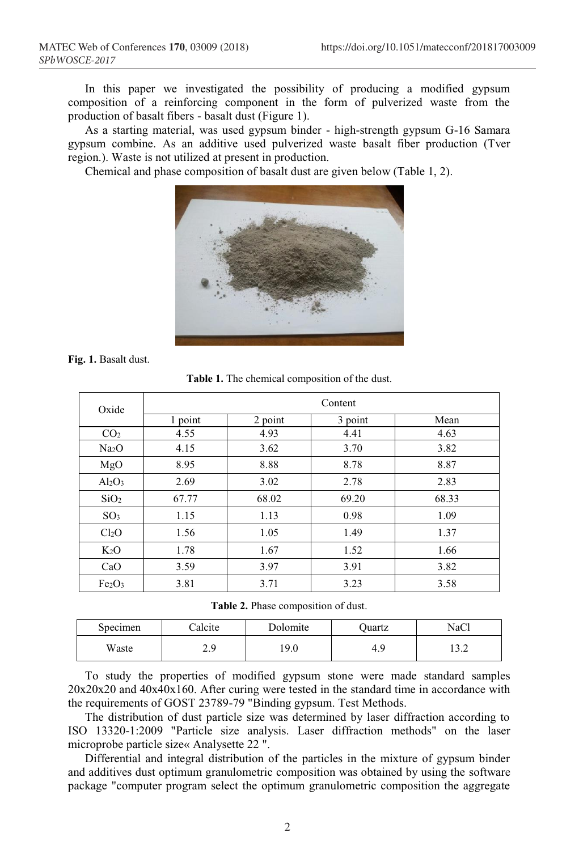In this paper we investigated the possibility of producing a modified gypsum composition of a reinforcing component in the form of pulverized waste from the production of basalt fibers - basalt dust (Figure 1).

As a starting material, was used gypsum binder - high-strength gypsum G-16 Samara gypsum combine. As an additive used pulverized waste basalt fiber production (Tver region.). Waste is not utilized at present in production.

Chemical and phase composition of basalt dust are given below (Table 1, 2).



**Fig. 1.** Basalt dust.

| Oxide                          | Content |         |         |       |  |
|--------------------------------|---------|---------|---------|-------|--|
|                                | 1 point | 2 point | 3 point | Mean  |  |
| CO <sub>2</sub>                | 4.55    | 4.93    | 4.41    | 4.63  |  |
| Na <sub>2</sub> O              | 4.15    | 3.62    | 3.70    | 3.82  |  |
| MgO                            | 8.95    | 8.88    | 8.78    | 8.87  |  |
| $Al_2O_3$                      | 2.69    | 3.02    | 2.78    | 2.83  |  |
| SiO <sub>2</sub>               | 67.77   | 68.02   | 69.20   | 68.33 |  |
| SO <sub>3</sub>                | 1.15    | 1.13    | 0.98    | 1.09  |  |
| Cl <sub>2</sub> O              | 1.56    | 1.05    | 1.49    | 1.37  |  |
| $K_2O$                         | 1.78    | 1.67    | 1.52    | 1.66  |  |
| CaO                            | 3.59    | 3.97    | 3.91    | 3.82  |  |
| Fe <sub>2</sub> O <sub>3</sub> | 3.81    | 3.71    | 3.23    | 3.58  |  |

**Table 1.** The chemical composition of the dust.

|  |  | Table 2. Phase composition of dust. |  |  |
|--|--|-------------------------------------|--|--|
|--|--|-------------------------------------|--|--|

| Specimen | Calcite      | Dolomite | ')uartz   | NaCl        |
|----------|--------------|----------|-----------|-------------|
| Waste    | າ ດ<br>ر . ب | 19.0     | -C<br>4.9 | 1 າ<br>ے. ر |

To study the properties of modified gypsum stone were made standard samples 20x20x20 and 40x40x160. After curing were tested in the standard time in accordance with the requirements of GOST 23789-79 "Binding gypsum. Test Methods.

The distribution of dust particle size was determined by laser diffraction according to ISO 13320-1:2009 "Particle size analysis. Laser diffraction methods" on the laser microprobe particle size« Analysette 22 ".

Differential and integral distribution of the particles in the mixture of gypsum binder and additives dust optimum granulometric composition was obtained by using the software package "computer program select the optimum granulometric composition the aggregate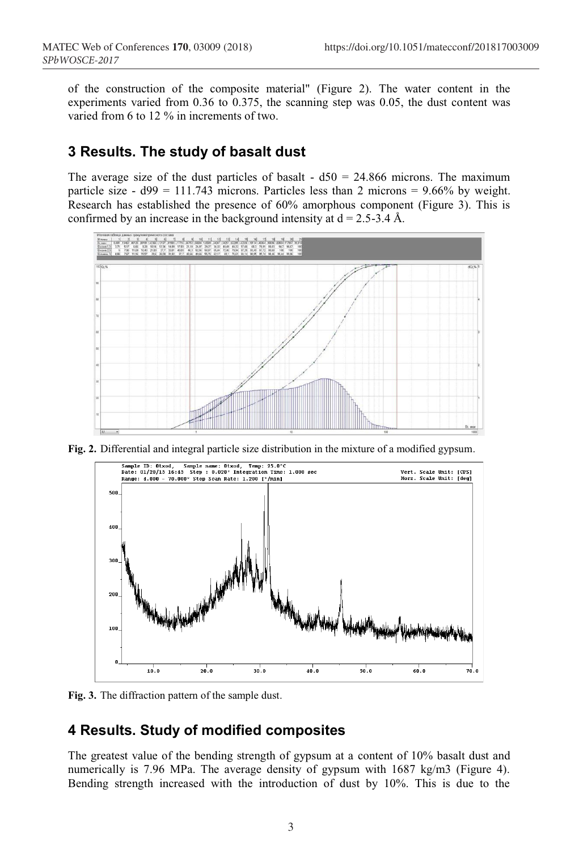of the construction of the composite material" (Figure 2). The water content in the experiments varied from 0.36 to 0.375, the scanning step was 0.05, the dust content was varied from 6 to 12 % in increments of two.

## **3 Results. The study of basalt dust**

The average size of the dust particles of basalt  $- d50 = 24.866$  microns. The maximum particle size -  $d99 = 111.743$  microns. Particles less than 2 microns = 9.66% by weight. Research has established the presence of 60% amorphous component (Figure 3). This is confirmed by an increase in the background intensity at  $d = 2.5 - 3.4$  Å.



**Fig. 2.** Differential and integral particle size distribution in the mixture of a modified gypsum.



**Fig. 3.** The diffraction pattern of the sample dust.

# **4 Results. Study of modified composites**

The greatest value of the bending strength of gypsum at a content of 10% basalt dust and numerically is 7.96 MPa. The average density of gypsum with 1687 kg/m3 (Figure 4). Bending strength increased with the introduction of dust by 10%. This is due to the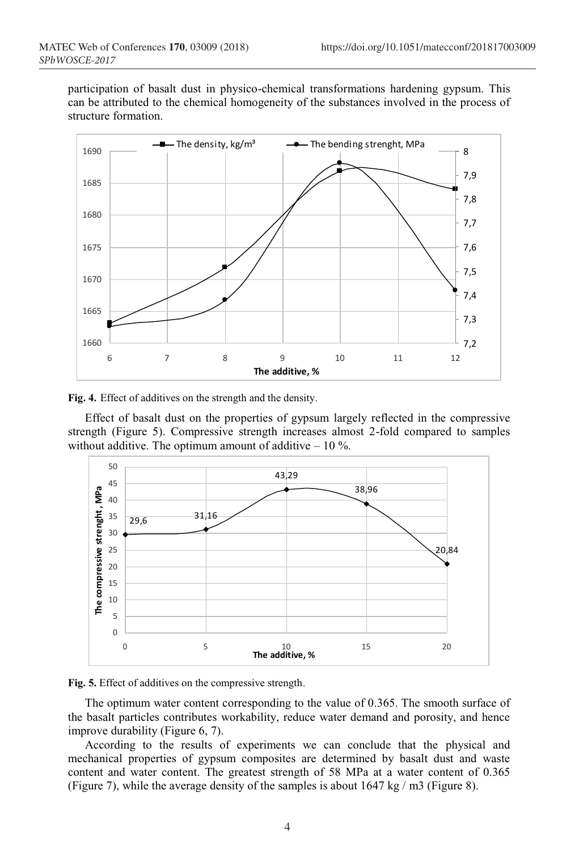participation of basalt dust in physico-chemical transformations hardening gypsum. This can be attributed to the chemical homogeneity of the substances involved in the process of structure formation.



**Fig. 4.** Effect of additives on the strength and the density.

Effect of basalt dust on the properties of gypsum largely reflected in the compressive strength (Figure 5). Compressive strength increases almost 2-fold compared to samples without additive. The optimum amount of additive  $-10\%$ .





The optimum water content corresponding to the value of 0.365. The smooth surface of the basalt particles contributes workability, reduce water demand and porosity, and hence improve durability (Figure 6, 7).

According to the results of experiments we can conclude that the physical and mechanical properties of gypsum composites are determined by basalt dust and waste content and water content. The greatest strength of 58 MPa at a water content of 0.365 (Figure 7), while the average density of the samples is about 1647 kg / m3 (Figure 8).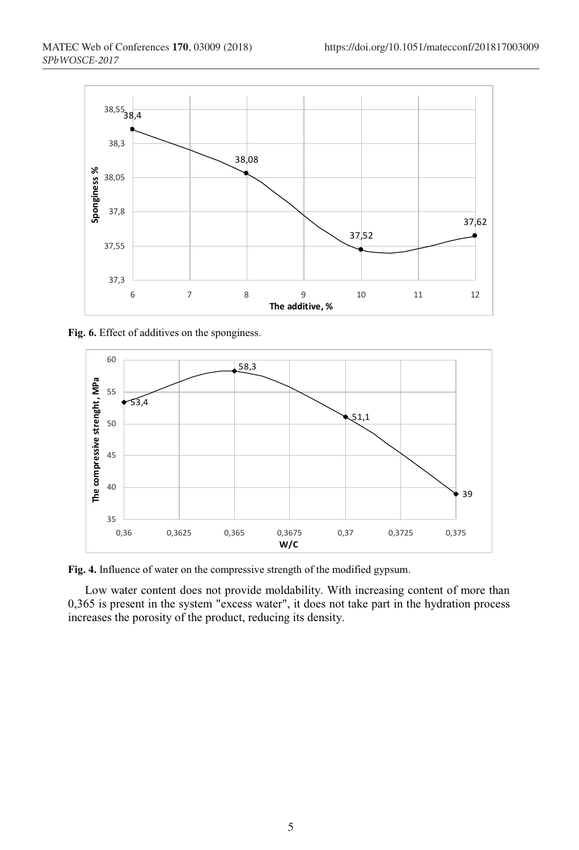

**Fig. 6.** Effect of additives on the sponginess.



**Fig. 4.** Influence of water on the compressive strength of the modified gypsum.

Low water content does not provide moldability. With increasing content of more than 0,365 is present in the system "excess water", it does not take part in the hydration process increases the porosity of the product, reducing its density.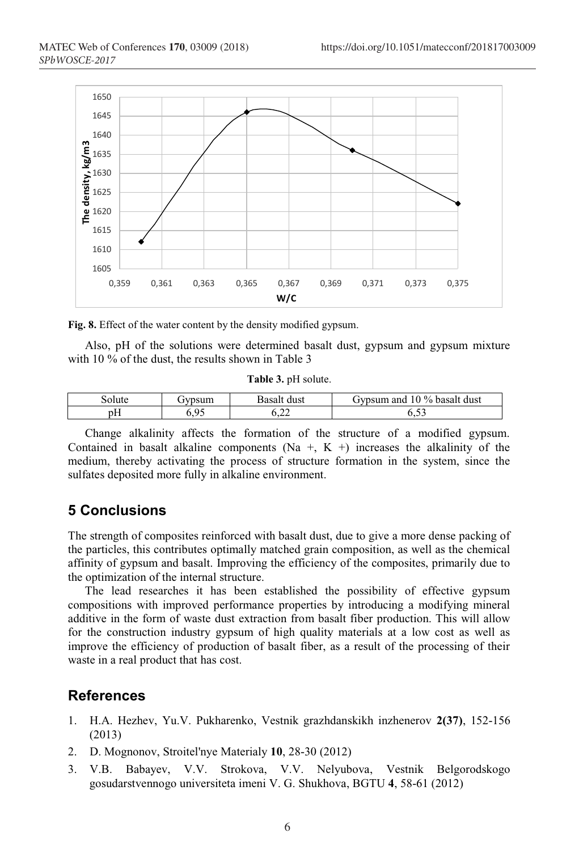

**Fig. 8.** Effect of the water content by the density modified gypsum.

Also, pH of the solutions were determined basalt dust, gypsum and gypsum mixture with 10 % of the dust, the results shown in Table 3

**Table 3.** pH solute.

| solute | jvpsum         | sasait<br>dust | 10 % basalt dust<br><b>TVDSUM</b><br>and |
|--------|----------------|----------------|------------------------------------------|
| pΗ     | 0 <sup>5</sup> | ~~             | $-1$                                     |
|        | . .            | .              | ∪.J_                                     |

Change alkalinity affects the formation of the structure of a modified gypsum. Contained in basalt alkaline components (Na +, K +) increases the alkalinity of the medium, thereby activating the process of structure formation in the system, since the sulfates deposited more fully in alkaline environment.

### **5 Conclusions**

The strength of composites reinforced with basalt dust, due to give a more dense packing of the particles, this contributes optimally matched grain composition, as well as the chemical affinity of gypsum and basalt. Improving the efficiency of the composites, primarily due to the optimization of the internal structure.

The lead researches it has been established the possibility of effective gypsum compositions with improved performance properties by introducing a modifying mineral additive in the form of waste dust extraction from basalt fiber production. This will allow for the construction industry gypsum of high quality materials at a low cost as well as improve the efficiency of production of basalt fiber, as a result of the processing of their waste in a real product that has cost.

#### **References**

- 1. H.A. Hezhev, Yu.V. Pukharenko, Vestnik grazhdanskikh inzhenerov **2(37)**, 152-156 (2013)
- 2. D. Mognonov, Stroitel'nye Materialy **10**, 28-30 (2012)
- 3. V.B. Babayev, V.V. Strokova, V.V. Nelyubova, Vestnik Belgorodskogo gosudarstvennogo universiteta imeni V. G. Shukhova, BGTU **4**, 58-61 (2012)